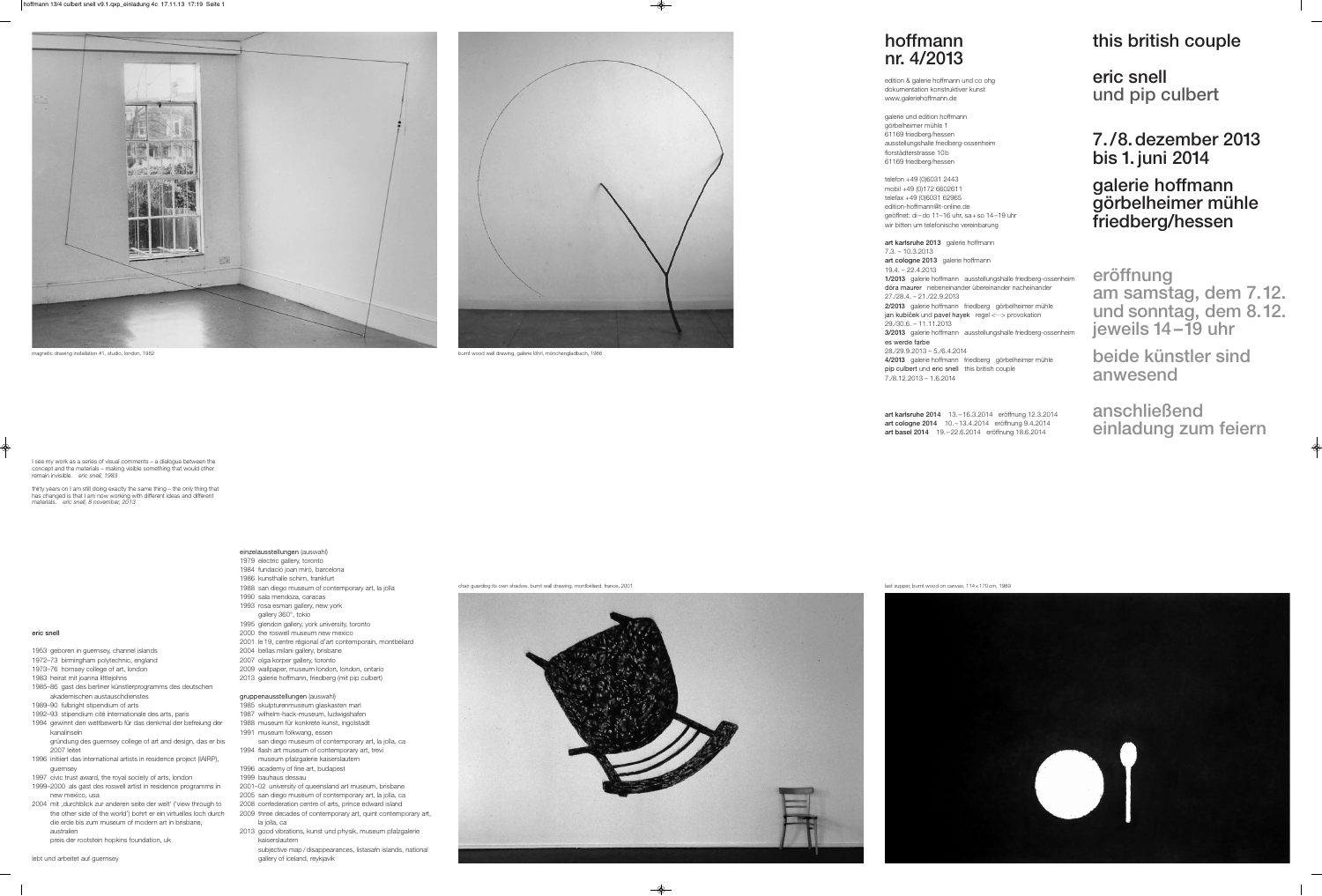# **this british couple**

**eric snell und pip culbert**

**7./8.dezember 2013 bis 1. juni 2014**

### **galerie hoffmann görbelheimer mühle friedberg/hessen**

**eröffnung**

**am samstag, dem 7.12. und sonntag, dem 8.12. jeweils 14–19 uhr**

**beide künstler sind anwesend**

**anschließend einladung zum feiern**

## **hoffmann nr. 4/2013**

edition & galerie hoffmann und co ohg dokumentation konstruktiver kunst www.galeriehoffmann.de

galerie und edition hoffmann görbelheimer mühle 1 61169 friedberg/hessen ausstellungshalle friedberg-ossenheim florstädterstrasse 10b 61169 friedberg/hessen

telefon +49 (0)6031 2443 mobil +49 (0)172 6602611 telefax +49 (0)6031 62965 edition-hoffmann@t-online.de geöffnet: di–do 11–16 uhr, sa+so 14–19 uhr wir bitten um telefonische vereinbarung

**art karlsruhe 2013** galerie hoffmann 7.3. – 10.3.2013 **art cologne 2013** galerie hoffmann 19.4. – 22.4.2013 **1/2013** galerie hoffmann ausstellungshalle friedberg-ossenheim dóra maurer nebeneinander übereinander nacheinander 27./28.4. – 21./22.9.2013 **2/2013** galerie hoffmann friedberg görbelheimer mühle jan kubíček und pavel hayek regel <··· > provokation 29./30.6. – 11.11.2013 **3/2013** galerie hoffmann ausstellungshalle friedberg-ossenheim es werde farbe 28./29.9.2013 – 5./6.4.2014 **4/2013** galerie hoffmann friedberg görbelheimer mühle pip culbert und eric snell this british couple 7./8.12.2013 – 1.6.2014

**art karlsruhe 2014** 13.–16.3.2014 eröffnung 12.3.2014 **art cologne 2014** 10.–13.4.2014 eröffnung 9.4.2014 **art basel 2014** 19.–22.6.2014 eröffnung 18.6.2014



burnt wood wall drawing, galerie löhrl, mönchengladbach, 1986

- einzelausstellungen (auswahl)
- 1979 electric gallery, toronto
- 1984 fundació joan miró, barcelona
- 1986 kunsthalle schirn, frankfurt
- 1988 san diego museum of contemporary art, la jolla
- 1990 sala mendoza, caracas
- 1993 rosa esman gallery, new york
- gallery 360°, tokio 1995 glendon gallery, york university, toronto
- 2000 the roswell museum new mexico
- 2001 le 19, centre régional d'art contemporain, montbéliard
- 2004 bellas milani gallery, brisbane
- 2007 olga korper gallery, toronto
- 2009 wallpaper, museum london, london, ontario
- 2013 galerie hoffmann, friedberg (mit pip culbert)

#### gruppenausstellungen (auswahl)

- 1985 skulpturenmuseum glaskasten marl
- 1987 wilhelm-hack-museum, ludwigshafen
- 1988 museum für konkrete kunst, ingolstadt
- 1991 museum folkwang, essen
- san diego museum of contemporary art, la jolla, ca 1994 flash art museum of contemporary art, trevi
- museum pfalzgalerie kaiserslautern
- 1996 academy of fine art, budapest
- 1999 bauhaus dessau
- 2001–02 university of queensland art museum, brisbane
- 2005 san diego museum of contemporary art, la jolla, ca
- 2008 confederation centre of arts, prince edward island
- 2009 three decades of contemporary art, quint contemporary art,
- la jolla, ca 2013 good vibrations, kunst und physik, museum pfalzgalerie kaiserslautern
- subjective map / disappearances, listasafn íslands, national gallery of iceland, reykjavik



#### **eric snell**

- 1953 geboren in guernsey, channel islands
- 1972–73 birmingham polytechnic, england
- 1973–76 hornsey college of art, london
- 1983 heirat mit joanna littlejohns
- 1985–86 gast des berliner künstlerprogramms des deutschen akademischen austauschdienstes
- 1989–90 fulbright stipendium of arts
- 1992–93 stipendium cité internationale des arts, paris
- 1994 gewinnt den wettbewerb für das denkmal der befreiung der kanalinseln
- gründung des guernsey college of art and design, das er bis 2007 leitet
- 1996 initiiert das international artists in residence project (IAIRP), guernsey
- 1997 civic trust award, the royal society of arts, london
- 1999–2000 als gast des roswell artist in residence programms in new mexico, usa
- 2004 mit ,durchblick zur anderen seite der welt' ('view through to the other side of the world') bohrt er ein virtuelles loch durch die erde bis zum museum of modern art in brisbane, australien
	- preis der rootstein hopkins foundation, uk

magnetic drawing installation #1, studio, london, 1982



I see my work as a series of visual comments – a dialogue between the concept and the materials – making visible something that would other remain invisible. *eric snell, 1983*

thirty years on I am still doing exactly the same thing – the only thing that has changed is that I am now working with different ideas and different materials. *eric snell, 8 november, 2013*

last supper, burnt wood on canvas, 114×170 cm, 1989